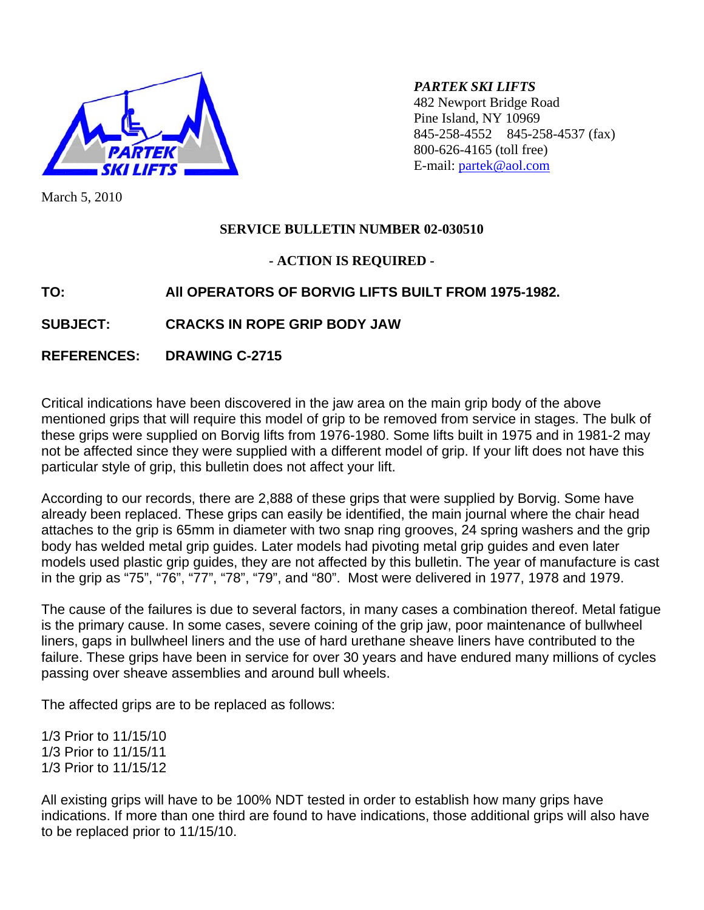

*PARTEK SKI LIFTS*  482 Newport Bridge Road Pine Island, NY 10969 845-258-4552 845-258-4537 (fax) 800-626-4165 (toll free) E-mail: [partek@aol.com](mailto:partek@aol.com)

March 5, 2010

## **SERVICE BULLETIN NUMBER 02-030510**

### **- ACTION IS REQUIRED -**

# **TO: All OPERATORS OF BORVIG LIFTS BUILT FROM 1975-1982.**

## **SUBJECT: CRACKS IN ROPE GRIP BODY JAW**

### **REFERENCES: DRAWING C-2715**

Critical indications have been discovered in the jaw area on the main grip body of the above mentioned grips that will require this model of grip to be removed from service in stages. The bulk of these grips were supplied on Borvig lifts from 1976-1980. Some lifts built in 1975 and in 1981-2 may not be affected since they were supplied with a different model of grip. If your lift does not have this particular style of grip, this bulletin does not affect your lift.

According to our records, there are 2,888 of these grips that were supplied by Borvig. Some have already been replaced. These grips can easily be identified, the main journal where the chair head attaches to the grip is 65mm in diameter with two snap ring grooves, 24 spring washers and the grip body has welded metal grip guides. Later models had pivoting metal grip guides and even later models used plastic grip guides, they are not affected by this bulletin. The year of manufacture is cast in the grip as "75", "76", "77", "78", "79", and "80". Most were delivered in 1977, 1978 and 1979.

The cause of the failures is due to several factors, in many cases a combination thereof. Metal fatigue is the primary cause. In some cases, severe coining of the grip jaw, poor maintenance of bullwheel liners, gaps in bullwheel liners and the use of hard urethane sheave liners have contributed to the failure. These grips have been in service for over 30 years and have endured many millions of cycles passing over sheave assemblies and around bull wheels.

The affected grips are to be replaced as follows:

1/3 Prior to 11/15/10 1/3 Prior to 11/15/11 1/3 Prior to 11/15/12

All existing grips will have to be 100% NDT tested in order to establish how many grips have indications. If more than one third are found to have indications, those additional grips will also have to be replaced prior to 11/15/10.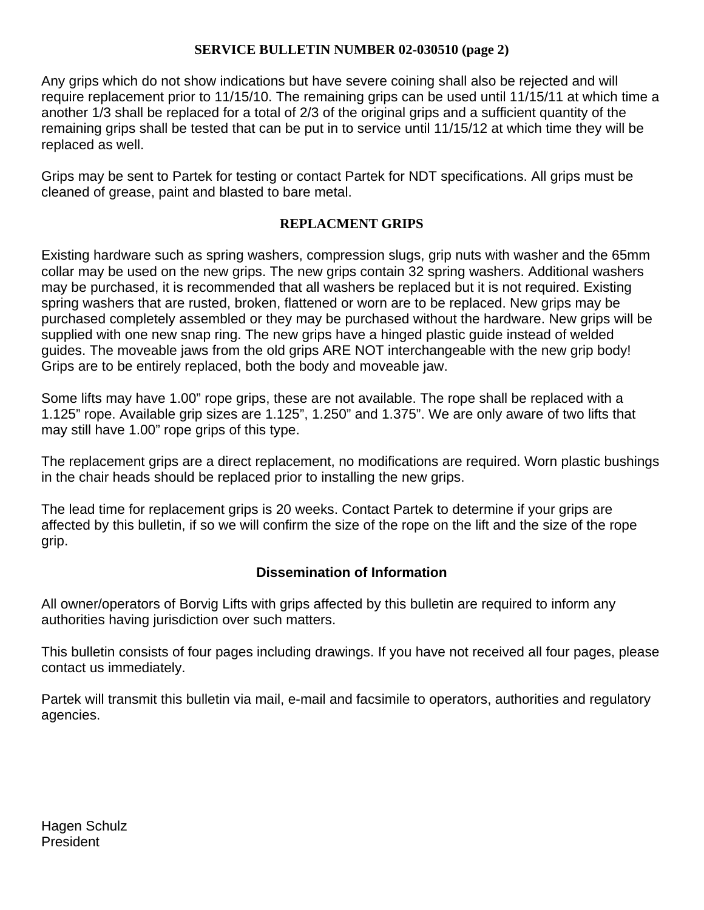#### **SERVICE BULLETIN NUMBER 02-030510 (page 2)**

Any grips which do not show indications but have severe coining shall also be rejected and will require replacement prior to 11/15/10. The remaining grips can be used until 11/15/11 at which time a another 1/3 shall be replaced for a total of 2/3 of the original grips and a sufficient quantity of the remaining grips shall be tested that can be put in to service until 11/15/12 at which time they will be replaced as well.

Grips may be sent to Partek for testing or contact Partek for NDT specifications. All grips must be cleaned of grease, paint and blasted to bare metal.

#### **REPLACMENT GRIPS**

Existing hardware such as spring washers, compression slugs, grip nuts with washer and the 65mm collar may be used on the new grips. The new grips contain 32 spring washers. Additional washers may be purchased, it is recommended that all washers be replaced but it is not required. Existing spring washers that are rusted, broken, flattened or worn are to be replaced. New grips may be purchased completely assembled or they may be purchased without the hardware. New grips will be supplied with one new snap ring. The new grips have a hinged plastic guide instead of welded guides. The moveable jaws from the old grips ARE NOT interchangeable with the new grip body! Grips are to be entirely replaced, both the body and moveable jaw.

Some lifts may have 1.00" rope grips, these are not available. The rope shall be replaced with a 1.125" rope. Available grip sizes are 1.125", 1.250" and 1.375". We are only aware of two lifts that may still have 1.00" rope grips of this type.

The replacement grips are a direct replacement, no modifications are required. Worn plastic bushings in the chair heads should be replaced prior to installing the new grips.

The lead time for replacement grips is 20 weeks. Contact Partek to determine if your grips are affected by this bulletin, if so we will confirm the size of the rope on the lift and the size of the rope grip.

## **Dissemination of Information**

All owner/operators of Borvig Lifts with grips affected by this bulletin are required to inform any authorities having jurisdiction over such matters.

This bulletin consists of four pages including drawings. If you have not received all four pages, please contact us immediately.

Partek will transmit this bulletin via mail, e-mail and facsimile to operators, authorities and regulatory agencies.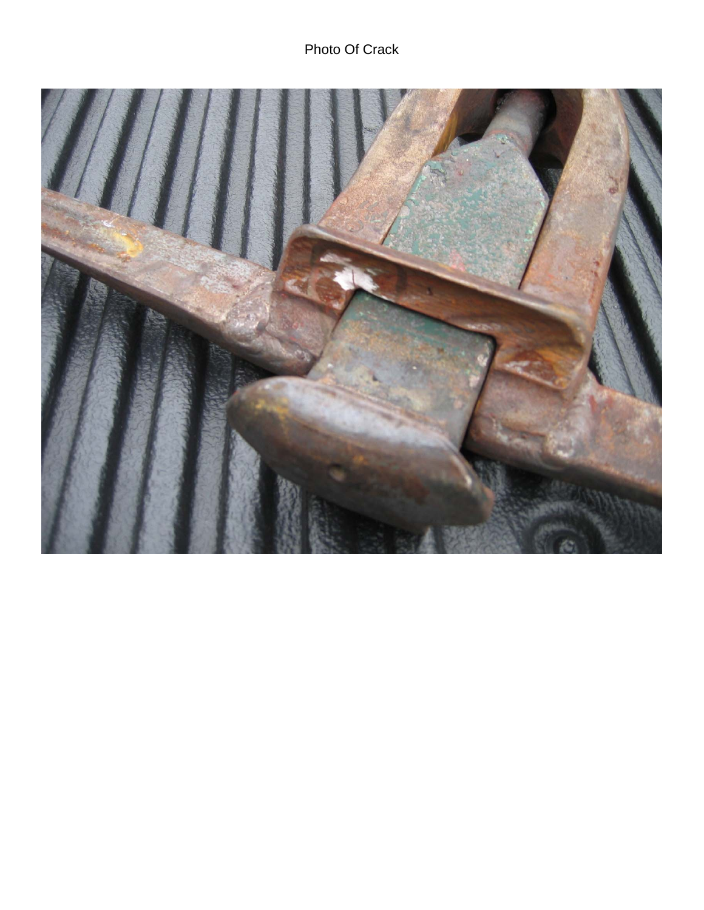